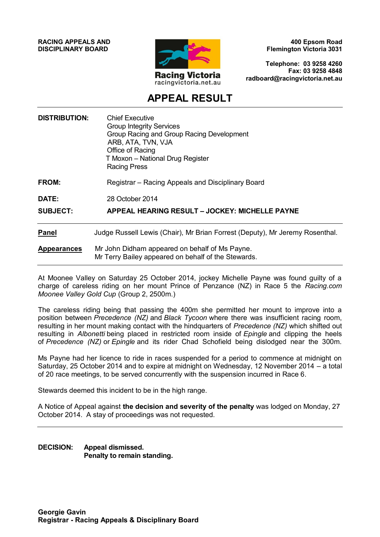**RACING APPEALS AND DISCIPLINARY BOARD**



**400 Epsom Road Flemington Victoria 3031**

**Telephone: 03 9258 4260 Fax: 03 9258 4848 radboard@racingvictoria.net.au**

# **APPEAL RESULT**

| <b>DISTRIBUTION:</b> | <b>Chief Executive</b><br><b>Group Integrity Services</b><br>Group Racing and Group Racing Development<br>ARB, ATA, TVN, VJA<br>Office of Racing<br>T Moxon - National Drug Register<br><b>Racing Press</b> |
|----------------------|-------------------------------------------------------------------------------------------------------------------------------------------------------------------------------------------------------------|
| FROM:                | Registrar – Racing Appeals and Disciplinary Board                                                                                                                                                           |
| DATE:                | 28 October 2014                                                                                                                                                                                             |
| <b>SUBJECT:</b>      | <b>APPEAL HEARING RESULT - JOCKEY: MICHELLE PAYNE</b>                                                                                                                                                       |
| <b>Panel</b>         | Judge Russell Lewis (Chair), Mr Brian Forrest (Deputy), Mr Jeremy Rosenthal.                                                                                                                                |
| <b>Appearances</b>   | Mr John Didham appeared on behalf of Ms Payne.<br>Mr Terry Bailey appeared on behalf of the Stewards.                                                                                                       |

At Moonee Valley on Saturday 25 October 2014, jockey Michelle Payne was found guilty of a charge of careless riding on her mount Prince of Penzance (NZ) in Race 5 the *Racing.com Moonee Valley Gold Cup* (Group 2, 2500m.)

The careless riding being that passing the 400m she permitted her mount to improve into a position between *Precedence (NZ)* and *Black Tycoon* where there was insufficient racing room, resulting in her mount making contact with the hindquarters of *Precedence (NZ)* which shifted out resulting in *Albonetti* being placed in restricted room inside of *Epingle* and clipping the heels of *Precedence (NZ)* or *Epingle* and its rider Chad Schofield being dislodged near the 300m.

Ms Payne had her licence to ride in races suspended for a period to commence at midnight on Saturday, 25 October 2014 and to expire at midnight on Wednesday, 12 November 2014 – a total of 20 race meetings, to be served concurrently with the suspension incurred in Race 6.

Stewards deemed this incident to be in the high range.

A Notice of Appeal against **the decision and severity of the penalty** was lodged on Monday, 27 October 2014. A stay of proceedings was not requested.

**DECISION: Appeal dismissed. Penalty to remain standing.**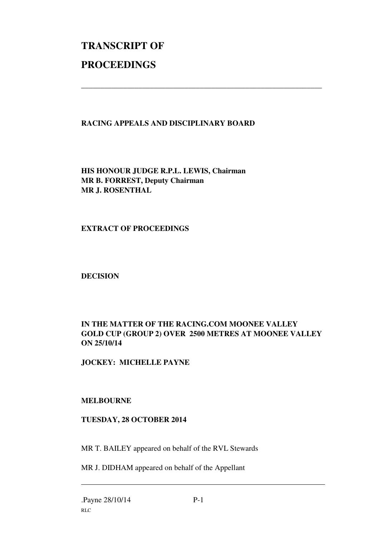# **TRANSCRIPT OF PROCEEDINGS**

### **RACING APPEALS AND DISCIPLINARY BOARD**

\_\_\_\_\_\_\_\_\_\_\_\_\_\_\_\_\_\_\_\_\_\_\_\_\_\_\_\_\_\_\_\_\_\_\_\_\_\_\_\_\_\_\_\_\_\_\_\_\_\_\_\_\_\_\_\_\_\_\_\_\_\_\_

**HIS HONOUR JUDGE R.P.L. LEWIS, Chairman MR B. FORREST, Deputy Chairman MR J. ROSENTHAL** 

#### **EXTRACT OF PROCEEDINGS**

**DECISION** 

## **IN THE MATTER OF THE RACING.COM MOONEE VALLEY GOLD CUP (GROUP 2) OVER 2500 METRES AT MOONEE VALLEY ON 25/10/14**

**JOCKEY: MICHELLE PAYNE** 

#### **MELBOURNE**

#### **TUESDAY, 28 OCTOBER 2014**

MR T. BAILEY appeared on behalf of the RVL Stewards

MR J. DIDHAM appeared on behalf of the Appellant

 $\overline{a}$